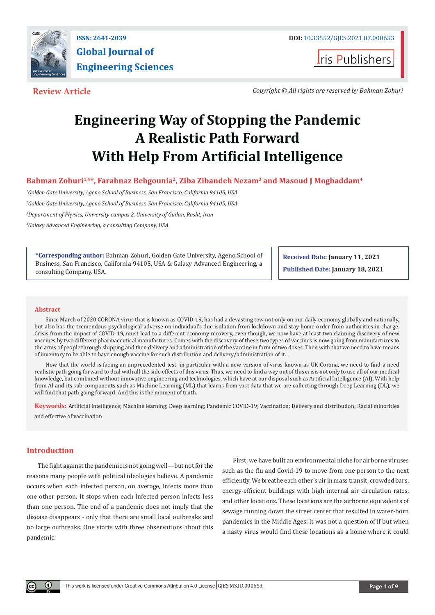

**I**ris Publishers

**Review Article** *Copyright © All rights are reserved by Bahman Zohuri*

# **Engineering Way of Stopping the Pandemic A Realistic Path Forward With Help From Artificial Intelligence**

Bahman Zohuri<sup>1,4\*</sup>, Farahnaz Behgounia<sup>2</sup>, Ziba Zibandeh Nezam<sup>3</sup> and Masoud J Moghaddam<sup>4</sup>

*1 Golden Gate University, Ageno School of Business, San Francisco, California 94105, USA*

*2 Golden Gate University, Ageno School of Business, San Francisco, California 94105, USA*

*3 Department of Physics, University campus 2, University of Guilan, Rasht, Iran*

*4 Galaxy Advanced Engineering, a consulting Company, USA*

**\*Corresponding author:** Bahman Zohuri, Golden Gate University, Ageno School of Business, San Francisco, California 94105, USA & Galaxy Advanced Engineering, a consulting Company, USA.

**Received Date: January 11, 2021 Published Date: January 18, 2021**

#### **Abstract**

Since March of 2020 CORONA virus that is known as COVID-19, has had a devasting tow not only on our daily economy globally and nationally, but also has the tremendous psychological adverse on individual's due isolation from lockdown and stay home order from authorities in charge. Crisis from the impact of COVID-19, must lead to a different economy recovery, even though, we now have at least two claiming discovery of new vaccines by two different pharmaceutical manufactures. Comes with the discovery of these two types of vaccines is now going from manufactures to the arms of people through shipping and then delivery and administration of the vaccine in form of two doses. Then with that we need to have means of inventory to be able to have enough vaccine for such distribution and delivery/administration of it.

Now that the world is facing an unprecedented test, in particular with a new version of virus known as UK Corona, we need to find a need realistic path going forward to deal with all the side effects of this virus. Thus, we need to find a way out of this crisis not only to use all of our medical knowledge, but combined without innovative engineering and technologies, which have at our disposal such as Artificial Intelligence (AI). With help from AI and its sub-components such as Machine Learning (ML) that learns from vast data that we are collecting through Deep Learning (DL), we will find that path going forward. And this is the moment of truth.

**Keywords:** Artificial intelligence; Machine learning; Deep learning; Pandemic COVID-19; Vaccination; Delivery and distribution; Racial minorities and effective of vaccination

# **Introduction**

The fight against the pandemic is not going well—but not for the reasons many people with political ideologies believe. A pandemic occurs when each infected person, on average, infects more than one other person. It stops when each infected person infects less than one person. The end of a pandemic does not imply that the disease disappears - only that there are small local outbreaks and no large outbreaks. One starts with three observations about this pandemic.

First, we have built an environmental niche for airborne viruses such as the flu and Covid-19 to move from one person to the next efficiently. We breathe each other's air in mass transit, crowded bars, energy-efficient buildings with high internal air circulation rates, and other locations. These locations are the airborne equivalents of sewage running down the street center that resulted in water-born pandemics in the Middle Ages. It was not a question of if but when a nasty virus would find these locations as a home where it could

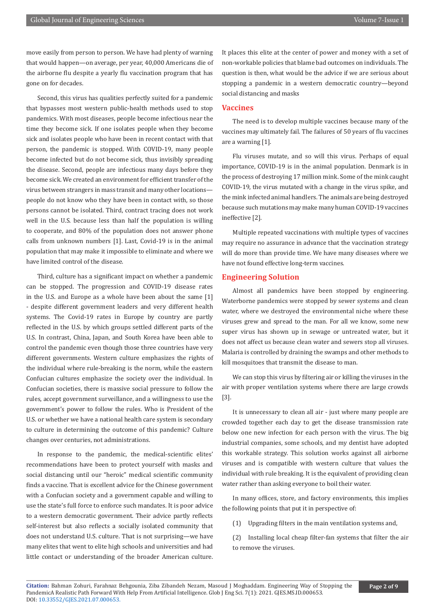move easily from person to person. We have had plenty of warning that would happen—on average, per year, 40,000 Americans die of the airborne flu despite a yearly flu vaccination program that has gone on for decades.

Second, this virus has qualities perfectly suited for a pandemic that bypasses most western public-health methods used to stop pandemics. With most diseases, people become infectious near the time they become sick. If one isolates people when they become sick and isolates people who have been in recent contact with that person, the pandemic is stopped. With COVID-19, many people become infected but do not become sick, thus invisibly spreading the disease. Second, people are infectious many days before they become sick. We created an environment for efficient transfer of the virus between strangers in mass transit and many other locations people do not know who they have been in contact with, so those persons cannot be isolated. Third, contract tracing does not work well in the U.S. because less than half the population is willing to cooperate, and 80% of the population does not answer phone calls from unknown numbers [1]. Last, Covid-19 is in the animal population that may make it impossible to eliminate and where we have limited control of the disease.

Third, culture has a significant impact on whether a pandemic can be stopped. The progression and COVID-19 disease rates in the U.S. and Europe as a whole have been about the same [1] - despite different government leaders and very different health systems. The Covid-19 rates in Europe by country are partly reflected in the U.S. by which groups settled different parts of the U.S. In contrast, China, Japan, and South Korea have been able to control the pandemic even though those three countries have very different governments. Western culture emphasizes the rights of the individual where rule-breaking is the norm, while the eastern Confucian cultures emphasize the society over the individual. In Confucian societies, there is massive social pressure to follow the rules, accept government surveillance, and a willingness to use the government's power to follow the rules. Who is President of the U.S. or whether we have a national health care system is secondary to culture in determining the outcome of this pandemic? Culture changes over centuries, not administrations.

In response to the pandemic, the medical-scientific elites' recommendations have been to protect yourself with masks and social distancing until our "heroic" medical scientific community finds a vaccine. That is excellent advice for the Chinese government with a Confucian society and a government capable and willing to use the state's full force to enforce such mandates. It is poor advice to a western democratic government. Their advice partly reflects self-interest but also reflects a socially isolated community that does not understand U.S. culture. That is not surprising—we have many elites that went to elite high schools and universities and had little contact or understanding of the broader American culture.

It places this elite at the center of power and money with a set of non-workable policies that blame bad outcomes on individuals. The question is then, what would be the advice if we are serious about stopping a pandemic in a western democratic country—beyond social distancing and masks

# **Vaccines**

The need is to develop multiple vaccines because many of the vaccines may ultimately fail. The failures of 50 years of flu vaccines are a warning [1].

Flu viruses mutate, and so will this virus. Perhaps of equal importance, COVID-19 is in the animal population. Denmark is in the process of destroying 17 million mink. Some of the mink caught COVID-19, the virus mutated with a change in the virus spike, and the mink infected animal handlers. The animals are being destroyed because such mutations may make many human COVID-19 vaccines ineffective [2].

Multiple repeated vaccinations with multiple types of vaccines may require no assurance in advance that the vaccination strategy will do more than provide time. We have many diseases where we have not found effective long-term vaccines.

#### **Engineering Solution**

Almost all pandemics have been stopped by engineering. Waterborne pandemics were stopped by sewer systems and clean water, where we destroyed the environmental niche where these viruses grew and spread to the man. For all we know, some new super virus has shown up in sewage or untreated water, but it does not affect us because clean water and sewers stop all viruses. Malaria is controlled by draining the swamps and other methods to kill mosquitoes that transmit the disease to man.

We can stop this virus by filtering air or killing the viruses in the air with proper ventilation systems where there are large crowds [3].

It is unnecessary to clean all air - just where many people are crowded together each day to get the disease transmission rate below one new infection for each person with the virus. The big industrial companies, some schools, and my dentist have adopted this workable strategy. This solution works against all airborne viruses and is compatible with western culture that values the individual with rule breaking. It is the equivalent of providing clean water rather than asking everyone to boil their water.

In many offices, store, and factory environments, this implies the following points that put it in perspective of:

(1) Upgrading filters in the main ventilation systems and,

(2) Installing local cheap filter-fan systems that filter the air to remove the viruses.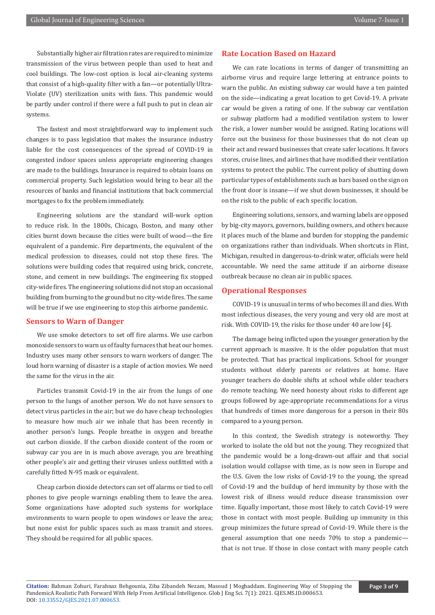Substantially higher air filtration rates are required to minimize transmission of the virus between people than used to heat and cool buildings. The low-cost option is local air-cleaning systems that consist of a high-quality filter with a fan—or potentially Ultra-Violate (UV) sterilization units with fans. This pandemic would be partly under control if there were a full push to put in clean air systems.

The fastest and most straightforward way to implement such changes is to pass legislation that makes the insurance industry liable for the cost consequences of the spread of COVID-19 in congested indoor spaces unless appropriate engineering changes are made to the buildings. Insurance is required to obtain loans on commercial property. Such legislation would bring to bear all the resources of banks and financial institutions that back commercial mortgages to fix the problem immediately.

Engineering solutions are the standard will-work option to reduce risk. In the 1800s, Chicago, Boston, and many other cities burnt down because the cities were built of wood—the fire equivalent of a pandemic. Fire departments, the equivalent of the medical profession to diseases, could not stop these fires. The solutions were building codes that required using brick, concrete, stone, and cement in new buildings. The engineering fix stopped city-wide fires. The engineering solutions did not stop an occasional building from burning to the ground but no city-wide fires. The same will be true if we use engineering to stop this airborne pandemic.

#### **Sensors to Warn of Danger**

We use smoke detectors to set off fire alarms. We use carbon monoxide sensors to warn us of faulty furnaces that heat our homes. Industry uses many other sensors to warn workers of danger. The loud horn warning of disaster is a staple of action movies. We need the same for the virus in the air.

Particles transmit Covid-19 in the air from the lungs of one person to the lungs of another person. We do not have sensors to detect virus particles in the air; but we do have cheap technologies to measure how much air we inhale that has been recently in another person's lungs. People breathe in oxygen and breathe out carbon dioxide. If the carbon dioxide content of the room or subway car you are in is much above average, you are breathing other people's air and getting their viruses unless outfitted with a carefully fitted N-95 mask or equivalent.

Cheap carbon dioxide detectors can set off alarms or tied to cell phones to give people warnings enabling them to leave the area. Some organizations have adopted such systems for workplace environments to warn people to open windows or leave the area; but none exist for public spaces such as mass transit and stores. They should be required for all public spaces.

# **Rate Location Based on Hazard**

We can rate locations in terms of danger of transmitting an airborne virus and require large lettering at entrance points to warn the public. An existing subway car would have a ten painted on the side—indicating a great location to get Covid-19. A private car would be given a rating of one. If the subway car ventilation or subway platform had a modified ventilation system to lower the risk, a lower number would be assigned. Rating locations will force out the business for those businesses that do not clean up their act and reward businesses that create safer locations. It favors stores, cruise lines, and airlines that have modified their ventilation systems to protect the public. The current policy of shutting down particular types of establishments such as bars based on the sign on the front door is insane—if we shut down businesses, it should be on the risk to the public of each specific location.

Engineering solutions, sensors, and warning labels are opposed by big-city mayors, governors, building owners, and others because it places much of the blame and burden for stopping the pandemic on organizations rather than individuals. When shortcuts in Flint, Michigan, resulted in dangerous-to-drink water, officials were held accountable. We need the same attitude if an airborne disease outbreak because no clean air in public spaces.

#### **Operational Responses**

COVID-19 is unusual in terms of who becomes ill and dies. With most infectious diseases, the very young and very old are most at risk. With COVID-19, the risks for those under 40 are low [4].

The damage being inflicted upon the younger generation by the current approach is massive. It is the older population that must be protected. That has practical implications. School for younger students without elderly parents or relatives at home. Have younger teachers do double shifts at school while older teachers do remote teaching. We need honesty about risks to different age groups followed by age-appropriate recommendations for a virus that hundreds of times more dangerous for a person in their 80s compared to a young person.

In this context, the Swedish strategy is noteworthy. They worked to isolate the old but not the young. They recognized that the pandemic would be a long-drawn-out affair and that social isolation would collapse with time, as is now seen in Europe and the U.S. Given the low risks of Covid-19 to the young, the spread of Covid-19 and the buildup of herd immunity by those with the lowest risk of illness would reduce disease transmission over time. Equally important, those most likely to catch Covid-19 were those in contact with most people. Building up immunity in this group minimizes the future spread of Covid-19. While there is the general assumption that one needs 70% to stop a pandemic that is not true. If those in close contact with many people catch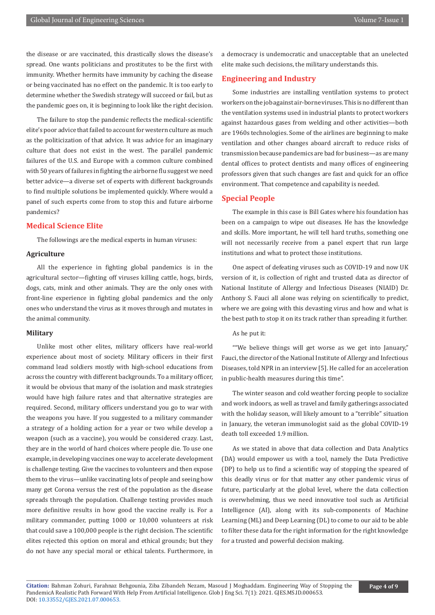the disease or are vaccinated, this drastically slows the disease's spread. One wants politicians and prostitutes to be the first with immunity. Whether hermits have immunity by caching the disease or being vaccinated has no effect on the pandemic. It is too early to determine whether the Swedish strategy will succeed or fail, but as the pandemic goes on, it is beginning to look like the right decision.

The failure to stop the pandemic reflects the medical-scientific elite's poor advice that failed to account for western culture as much as the politicization of that advice. It was advice for an imaginary culture that does not exist in the west. The parallel pandemic failures of the U.S. and Europe with a common culture combined with 50 years of failures in fighting the airborne flu suggest we need better advice—a diverse set of experts with different backgrounds to find multiple solutions be implemented quickly. Where would a panel of such experts come from to stop this and future airborne pandemics?

# **Medical Science Elite**

The followings are the medical experts in human viruses:

#### **Agriculture**

All the experience in fighting global pandemics is in the agricultural sector—fighting off viruses killing cattle, hogs, birds, dogs, cats, mink and other animals. They are the only ones with front-line experience in fighting global pandemics and the only ones who understand the virus as it moves through and mutates in the animal community.

# **Military**

Unlike most other elites, military officers have real-world experience about most of society. Military officers in their first command lead soldiers mostly with high-school educations from across the country with different backgrounds. To a military officer, it would be obvious that many of the isolation and mask strategies would have high failure rates and that alternative strategies are required. Second, military officers understand you go to war with the weapons you have. If you suggested to a military commander a strategy of a holding action for a year or two while develop a weapon (such as a vaccine), you would be considered crazy. Last, they are in the world of hard choices where people die. To use one example, in developing vaccines one way to accelerate development is challenge testing. Give the vaccines to volunteers and then expose them to the virus—unlike vaccinating lots of people and seeing how many get Corona versus the rest of the population as the disease spreads through the population. Challenge testing provides much more definitive results in how good the vaccine really is. For a military commander, putting 1000 or 10,000 volunteers at risk that could save a 100,000 people is the right decision. The scientific elites rejected this option on moral and ethical grounds; but they do not have any special moral or ethical talents. Furthermore, in

a democracy is undemocratic and unacceptable that an unelected elite make such decisions, the military understands this.

# **Engineering and Industry**

Some industries are installing ventilation systems to protect workers on the job against air-borne viruses. This is no different than the ventilation systems used in industrial plants to protect workers against hazardous gases from welding and other activities—both are 1960s technologies. Some of the airlines are beginning to make ventilation and other changes aboard aircraft to reduce risks of transmission because pandemics are bad for business—as are many dental offices to protect dentists and many offices of engineering professors given that such changes are fast and quick for an office environment. That competence and capability is needed.

## **Special People**

The example in this case is Bill Gates where his foundation has been on a campaign to wipe out diseases. He has the knowledge and skills. More important, he will tell hard truths, something one will not necessarily receive from a panel expert that run large institutions and what to protect those institutions.

One aspect of defeating viruses such as COVID-19 and now UK version of it, is collection of right and trusted data as director of National Institute of Allergy and Infectious Diseases (NIAID) Dr. Anthony S. Fauci all alone was relying on scientifically to predict, where we are going with this devasting virus and how and what is the best path to stop it on its track rather than spreading it further.

# As he put it:

""We believe things will get worse as we get into January," Fauci, the director of the National Institute of Allergy and Infectious Diseases, told NPR in an interview [5]. He called for an acceleration in public-health measures during this time".

The winter season and cold weather forcing people to socialize and work indoors, as well as travel and family gatherings associated with the holiday season, will likely amount to a "terrible" situation in January, the veteran immunologist said as the global COVID-19 death toll exceeded 1.9 million.

As we stated in above that data collection and Data Analytics (DA) would empower us with a tool, namely the Data Predictive (DP) to help us to find a scientific way of stopping the speared of this deadly virus or for that matter any other pandemic virus of future, particularly at the global level, where the data collection is overwhelming, thus we need innovative tool such as Artificial Intelligence (AI), along with its sub-components of Machine Learning (ML) and Deep Learning (DL) to come to our aid to be able to filter these data for the right information for the right knowledge for a trusted and powerful decision making.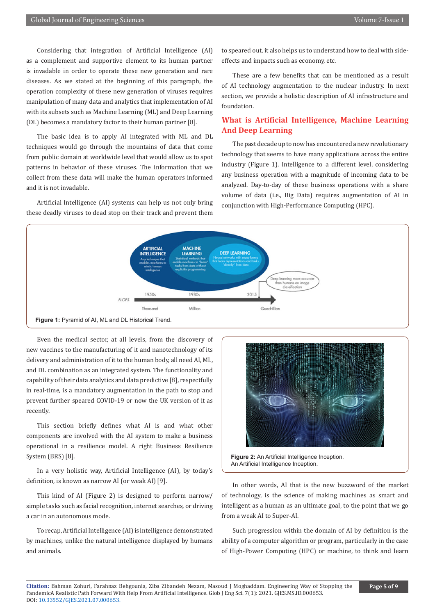Considering that integration of Artificial Intelligence (AI) as a complement and supportive element to its human partner is invadable in order to operate these new generation and rare diseases. As we stated at the beginning of this paragraph, the operation complexity of these new generation of viruses requires manipulation of many data and analytics that implementation of AI with its subsets such as Machine Learning (ML) and Deep Learning (DL) becomes a mandatory factor to their human partner [8].

The basic idea is to apply AI integrated with ML and DL techniques would go through the mountains of data that come from public domain at worldwide level that would allow us to spot patterns in behavior of these viruses. The information that we collect from these data will make the human operators informed and it is not invadable.

Artificial Intelligence (AI) systems can help us not only bring these deadly viruses to dead stop on their track and prevent them

to speared out, it also helps us to understand how to deal with sideeffects and impacts such as economy, etc.

These are a few benefits that can be mentioned as a result of AI technology augmentation to the nuclear industry. In next section, we provide a holistic description of AI infrastructure and foundation.

# **What is Artificial Intelligence, Machine Learning And Deep Learning**

The past decade up to now has encountered a new revolutionary technology that seems to have many applications across the entire industry (Figure 1). Intelligence to a different level, considering any business operation with a magnitude of incoming data to be analyzed. Day-to-day of these business operations with a share volume of data (i.e., Big Data) requires augmentation of AI in conjunction with High-Performance Computing (HPC).



Even the medical sector, at all levels, from the discovery of new vaccines to the manufacturing of it and nanotechnology of its delivery and administration of it to the human body, all need AI, ML, and DL combination as an integrated system. The functionality and capability of their data analytics and data predictive [8], respectfully in real-time, is a mandatory augmentation in the path to stop and prevent further speared COVID-19 or now the UK version of it as recently.

This section briefly defines what AI is and what other components are involved with the AI system to make a business operational in a resilience model. A right Business Resilience System (BRS) [8].

In a very holistic way, Artificial Intelligence (AI), by today's definition, is known as narrow AI (or weak AI) [9].

This kind of AI (Figure 2) is designed to perform narrow/ simple tasks such as facial recognition, internet searches, or driving a car in an autonomous mode.

To recap, Artificial Intelligence (AI) is intelligence demonstrated by machines, unlike the natural intelligence displayed by humans and animals.



**Figure 2:** An Artificial Intelligence Inception. An Artificial Intelligence Inception.

In other words, AI that is the new buzzword of the market of technology, is the science of making machines as smart and intelligent as a human as an ultimate goal, to the point that we go from a weak AI to Super-AI.

Such progression within the domain of AI by definition is the ability of a computer algorithm or program, particularly in the case of High-Power Computing (HPC) or machine, to think and learn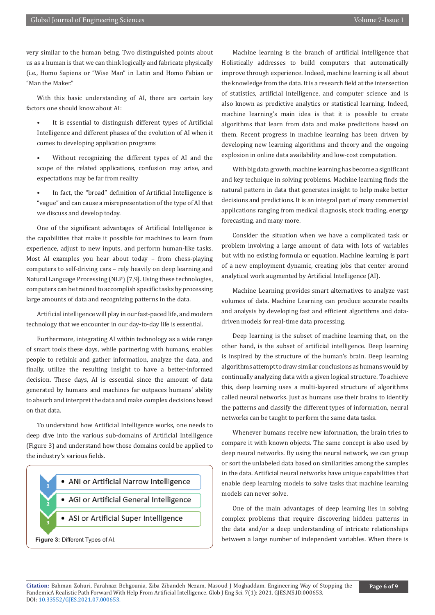very similar to the human being. Two distinguished points about us as a human is that we can think logically and fabricate physically (i.e., Homo Sapiens or "Wise Man" in Latin and Homo Fabian or "Man the Maker."

With this basic understanding of AI, there are certain key factors one should know about AI:

- It is essential to distinguish different types of Artificial Intelligence and different phases of the evolution of AI when it comes to developing application programs
- Without recognizing the different types of AI and the scope of the related applications, confusion may arise, and expectations may be far from reality
- In fact, the "broad" definition of Artificial Intelligence is "vague" and can cause a misrepresentation of the type of AI that we discuss and develop today.

One of the significant advantages of Artificial Intelligence is the capabilities that make it possible for machines to learn from experience, adjust to new inputs, and perform human-like tasks. Most AI examples you hear about today – from chess-playing computers to self-driving cars – rely heavily on deep learning and Natural Language Processing (NLP) [7,9]. Using these technologies, computers can be trained to accomplish specific tasks by processing large amounts of data and recognizing patterns in the data.

Artificial intelligence will play in our fast-paced life, and modern technology that we encounter in our day-to-day life is essential.

Furthermore, integrating AI within technology as a wide range of smart tools these days, while partnering with humans, enables people to rethink and gather information, analyze the data, and finally, utilize the resulting insight to have a better-informed decision. These days, AI is essential since the amount of data generated by humans and machines far outpaces humans' ability to absorb and interpret the data and make complex decisions based on that data.

To understand how Artificial Intelligence works, one needs to deep dive into the various sub-domains of Artificial Intelligence (Figure 3) and understand how those domains could be applied to the industry's various fields.



Machine learning is the branch of artificial intelligence that Holistically addresses to build computers that automatically improve through experience. Indeed, machine learning is all about the knowledge from the data. It is a research field at the intersection of statistics, artificial intelligence, and computer science and is also known as predictive analytics or statistical learning. Indeed, machine learning's main idea is that it is possible to create algorithms that learn from data and make predictions based on them. Recent progress in machine learning has been driven by developing new learning algorithms and theory and the ongoing explosion in online data availability and low-cost computation.

With big data growth, machine learning has become a significant and key technique in solving problems. Machine learning finds the natural pattern in data that generates insight to help make better decisions and predictions. It is an integral part of many commercial applications ranging from medical diagnosis, stock trading, energy forecasting, and many more.

Consider the situation when we have a complicated task or problem involving a large amount of data with lots of variables but with no existing formula or equation. Machine learning is part of a new employment dynamic, creating jobs that center around analytical work augmented by Artificial Intelligence (AI).

Machine Learning provides smart alternatives to analyze vast volumes of data. Machine Learning can produce accurate results and analysis by developing fast and efficient algorithms and datadriven models for real-time data processing.

Deep learning is the subset of machine learning that, on the other hand, is the subset of artificial intelligence. Deep learning is inspired by the structure of the human's brain. Deep learning algorithms attempt to draw similar conclusions as humans would by continually analyzing data with a given logical structure. To achieve this, deep learning uses a multi-layered structure of algorithms called neural networks. Just as humans use their brains to identify the patterns and classify the different types of information, neural networks can be taught to perform the same data tasks.

Whenever humans receive new information, the brain tries to compare it with known objects. The same concept is also used by deep neural networks. By using the neural network, we can group or sort the unlabeled data based on similarities among the samples in the data. Artificial neural networks have unique capabilities that enable deep learning models to solve tasks that machine learning models can never solve.

One of the main advantages of deep learning lies in solving complex problems that require discovering hidden patterns in the data and/or a deep understanding of intricate relationships between a large number of independent variables. When there is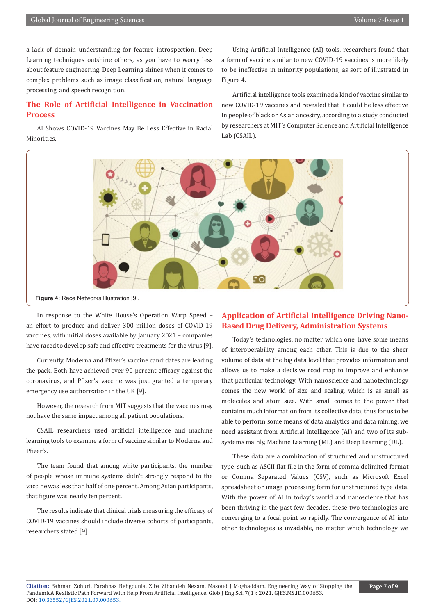a lack of domain understanding for feature introspection, Deep Learning techniques outshine others, as you have to worry less about feature engineering. Deep Learning shines when it comes to complex problems such as image classification, natural language processing, and speech recognition.

# **The Role of Artificial Intelligence in Vaccination Process**

AI Shows COVID-19 Vaccines May Be Less Effective in Racial Minorities.

Using Artificial Intelligence (AI) tools, researchers found that a form of vaccine similar to new COVID-19 vaccines is more likely to be ineffective in minority populations, as sort of illustrated in Figure 4.

Artificial intelligence tools examined a kind of vaccine similar to new COVID-19 vaccines and revealed that it could be less effective in people of black or Asian ancestry, according to a study conducted by researchers at MIT's Computer Science and Artificial Intelligence Lab (CSAIL).



**Figure 4:** Race Networks Illustration [9].

In response to the White House's Operation Warp Speed – an effort to produce and deliver 300 million doses of COVID-19 vaccines, with initial doses available by January 2021 – companies have raced to develop safe and effective treatments for the virus [9].

Currently, Moderna and Pfizer's vaccine candidates are leading the pack. Both have achieved over 90 percent efficacy against the coronavirus, and Pfizer's vaccine was just granted a temporary emergency use authorization in the UK [9].

However, the research from MIT suggests that the vaccines may not have the same impact among all patient populations.

CSAIL researchers used artificial intelligence and machine learning tools to examine a form of vaccine similar to Moderna and Pfizer's.

The team found that among white participants, the number of people whose immune systems didn't strongly respond to the vaccine was less than half of one percent. Among Asian participants, that figure was nearly ten percent.

The results indicate that clinical trials measuring the efficacy of COVID-19 vaccines should include diverse cohorts of participants, researchers stated [9].

# **Application of Artificial Intelligence Driving Nano-Based Drug Delivery, Administration Systems**

Today's technologies, no matter which one, have some means of interoperability among each other. This is due to the sheer volume of data at the big data level that provides information and allows us to make a decisive road map to improve and enhance that particular technology. With nanoscience and nanotechnology comes the new world of size and scaling, which is as small as molecules and atom size. With small comes to the power that contains much information from its collective data, thus for us to be able to perform some means of data analytics and data mining, we need assistant from Artificial Intelligence (AI) and two of its subsystems mainly, Machine Learning (ML) and Deep Learning (DL).

These data are a combination of structured and unstructured type, such as ASCII flat file in the form of comma delimited format or Comma Separated Values (CSV), such as Microsoft Excel spreadsheet or image processing form for unstructured type data. With the power of AI in today's world and nanoscience that has been thriving in the past few decades, these two technologies are converging to a focal point so rapidly. The convergence of AI into other technologies is invadable, no matter which technology we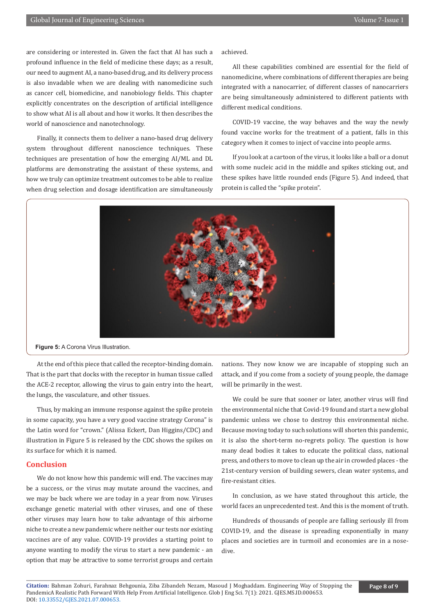are considering or interested in. Given the fact that AI has such a profound influence in the field of medicine these days; as a result, our need to augment AI, a nano-based drug, and its delivery process is also invadable when we are dealing with nanomedicine such as cancer cell, biomedicine, and nanobiology fields. This chapter explicitly concentrates on the description of artificial intelligence to show what AI is all about and how it works. It then describes the world of nanoscience and nanotechnology.

Finally, it connects them to deliver a nano-based drug delivery system throughout different nanoscience techniques. These techniques are presentation of how the emerging AI/ML and DL platforms are demonstrating the assistant of these systems, and how we truly can optimize treatment outcomes to be able to realize when drug selection and dosage identification are simultaneously

achieved.

All these capabilities combined are essential for the field of nanomedicine, where combinations of different therapies are being integrated with a nanocarrier, of different classes of nanocarriers are being simultaneously administered to different patients with different medical conditions.

COVID-19 vaccine, the way behaves and the way the newly found vaccine works for the treatment of a patient, falls in this category when it comes to inject of vaccine into people arms.

If you look at a cartoon of the virus, it looks like a ball or a donut with some nucleic acid in the middle and spikes sticking out, and these spikes have little rounded ends (Figure 5). And indeed, that protein is called the "spike protein".



**Figure 5:** A Corona Virus Illustration.

At the end of this piece that called the receptor-binding domain. That is the part that docks with the receptor in human tissue called the ACE-2 receptor, allowing the virus to gain entry into the heart, the lungs, the vasculature, and other tissues.

Thus, by making an immune response against the spike protein in some capacity, you have a very good vaccine strategy Corona" is the Latin word for "crown." (Alissa Eckert, Dan Higgins/CDC) and illustration in Figure 5 is released by the CDC shows the spikes on its surface for which it is named.

# **Conclusion**

We do not know how this pandemic will end. The vaccines may be a success, or the virus may mutate around the vaccines, and we may be back where we are today in a year from now. Viruses exchange genetic material with other viruses, and one of these other viruses may learn how to take advantage of this airborne niche to create a new pandemic where neither our tests nor existing vaccines are of any value. COVID-19 provides a starting point to anyone wanting to modify the virus to start a new pandemic - an option that may be attractive to some terrorist groups and certain

nations. They now know we are incapable of stopping such an attack, and if you come from a society of young people, the damage will be primarily in the west.

We could be sure that sooner or later, another virus will find the environmental niche that Covid-19 found and start a new global pandemic unless we chose to destroy this environmental niche. Because moving today to such solutions will shorten this pandemic, it is also the short-term no-regrets policy. The question is how many dead bodies it takes to educate the political class, national press, and others to move to clean up the air in crowded places - the 21st-century version of building sewers, clean water systems, and fire-resistant cities.

In conclusion, as we have stated throughout this article, the world faces an unprecedented test. And this is the moment of truth.

Hundreds of thousands of people are falling seriously ill from COVID-19, and the disease is spreading exponentially in many places and societies are in turmoil and economies are in a nosedive.

**Citation:** Bahman Zohuri, Farahnaz Behgounia, Ziba Zibandeh Nezam, Masoud J Moghaddam. Engineering Way of Stopping the PandemicA Realistic Path Forward With Help From Artificial Intelligence. Glob J Eng Sci. 7(1): 2021. GJES.MS.ID.000653. DOI: [10.33552/GJES.2021.07.000653.](http://dx.doi.org/10.33552/GJES.2021.07.000653)